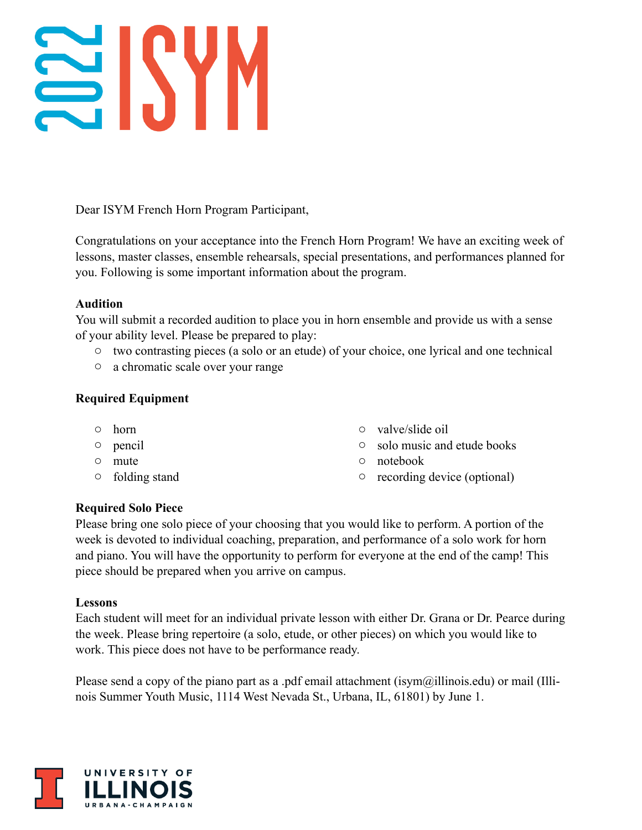# SISYM

Dear ISYM French Horn Program Participant,

Congratulations on your acceptance into the French Horn Program! We have an exciting week of lessons, master classes, ensemble rehearsals, special presentations, and performances planned for you. Following is some important information about the program.

## **Audition**

You will submit a recorded audition to place you in horn ensemble and provide us with a sense of your ability level. Please be prepared to play:

- o two contrasting pieces (a solo or an etude) of your choice, one lyrical and one technical
- o a chromatic scale over your range

# **Required Equipment**

- o horn
- o pencil
- o mute
- o folding stand
- o valve/slide oil
- o solo music and etude books
- o notebook
- o recording device (optional)

# **Required Solo Piece**

Please bring one solo piece of your choosing that you would like to perform. A portion of the week is devoted to individual coaching, preparation, and performance of a solo work for horn and piano. You will have the opportunity to perform for everyone at the end of the camp! This piece should be prepared when you arrive on campus.

## **Lessons**

Each student will meet for an individual private lesson with either Dr. Grana or Dr. Pearce during the week. Please bring repertoire (a solo, etude, or other pieces) on which you would like to work. This piece does not have to be performance ready.

Please send a copy of the piano part as a .pdf email attachment (isym $\omega$ illinois.edu) or mail (Illinois Summer Youth Music, 1114 West Nevada St., Urbana, IL, 61801) by June 1.